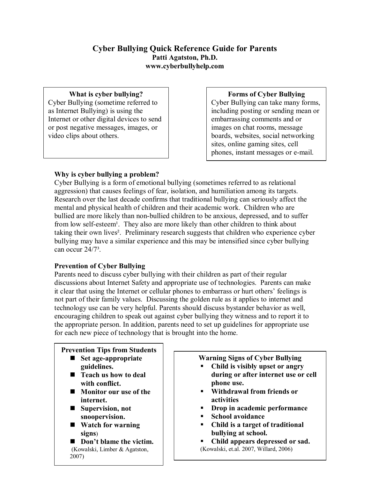## **Cyber Bullying Quick Reference Guide for Parents Patti Agatston, Ph.D. www.cyberbullyhelp.com**

### **What is cyber bullying?**

Cyber Bullying (sometime referred to as Internet Bullying) is using the Internet or other digital devices to send or post negative messages, images, or video clips about others.

### **Forms of Cyber Bullying**

Cyber Bullying can take many forms, including posting or sending mean or embarrassing comments and or images on chat rooms, message boards, websites, social networking sites, online gaming sites, cell phones, instant messages or e-mail.

## **Why is cyber bullying a problem?**

Cyber Bullying is a form of emotional bullying (sometimes referred to as relational aggression) that causes feelings of fear, isolation, and humiliation among its targets. Research over the last decade confirms that traditional bullying can seriously affect the mental and physical health of children and their academic work. Children who are bullied are more likely than non-bullied children to be anxious, depressed, and to suffer from low self-esteem<sup>1</sup>. They also are more likely than other children to think about taking their own lives². Preliminary research suggests that children who experience cyber bullying may have a similar experience and this may be intensified since cyber bullying can occur 24/7<sup>3</sup>.

# **Prevention of Cyber Bullying**

Parents need to discuss cyber bullying with their children as part of their regular discussions about Internet Safety and appropriate use of technologies. Parents can make it clear that using the Internet or cellular phones to embarrass or hurt others' feelings is not part of their family values. Discussing the golden rule as it applies to internet and technology use can be very helpful. Parents should discuss bystander behavior as well, encouraging children to speak out against cyber bullying they witness and to report it to the appropriate person. In addition, parents need to set up guidelines for appropriate use for each new piece of technology that is brought into the home.

# **Prevention Tips from Students**

- Set age-appropriate **guidelines.**
- Teach us how to deal **with conflict.**
- **Monitor our use** of the **internet.**
- Supervision, not **snoopervision.**
- **Watch for warning signs**)
- **Don't** blame the victim. (Kowalski, Limber & Agatston, 2007)

# **Warning Signs of Cyber Bullying**

- ß **Child is visibly upset or angry during or after internet use or cell phone use.**
- ß **Withdrawal from friends or activities**
- ß **Drop in academic performance**
- ß **School avoidance**
- ß **Child is a target of traditional bullying at school.**
- ß **Child appears depressed or sad.** (Kowalski, et.al. 2007, Willard, 2006)